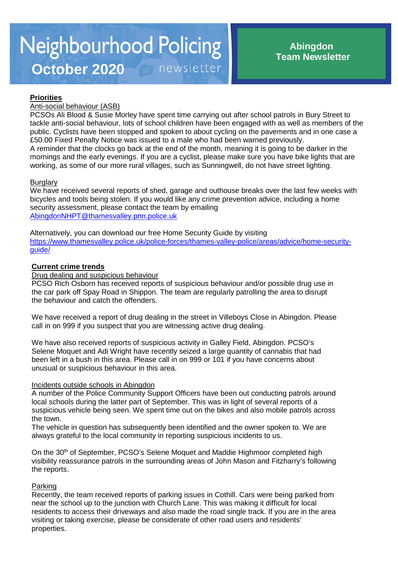# **Priorities**

## Anti-social behaviour (ASB)

PCSOs Ali Blood & Susie Morley have spent time carrying out after school patrols in Bury Street to tackle anti-social behaviour, lots of school children have been engaged with as well as members of the public. Cyclists have been stopped and spoken to about cycling on the pavements and in one case a £50.00 Fixed Penalty Notice was issued to a male who had been warned previously. A reminder that the clocks go back at the end of the month, meaning it is going to be darker in the mornings and the early evenings. If you are a cyclist, please make sure you have bike lights that are working, as some of our more rural villages, such as Sunningwell, do not have street lighting.

#### **Burglary**

We have received several reports of shed, garage and outhouse breaks over the last few weeks with bicycles and tools being stolen. If you would like any crime prevention advice, including a home security assessment, please contact the team by emailing [AbingdonNHPT@thamesvalley.pnn.police.uk](mailto:AbingdonNHPT@thamesvalley.pnn.police.uk)

Alternatively, you can download our free Home Security Guide by visiting [https://www.thamesvalley.police.uk/police-forces/thames-valley-police/areas/advice/home-security](https://www.thamesvalley.police.uk/police-forces/thames-valley-police/areas/advice/home-security-guide/)[guide/](https://www.thamesvalley.police.uk/police-forces/thames-valley-police/areas/advice/home-security-guide/)

### **Current crime trends**

Drug dealing and suspicious behaviour

PCSO Rich Osborn has received reports of suspicious behaviour and/or possible drug use in the car park off Spay Road in Shippon. The team are regularly patrolling the area to disrupt the behaviour and catch the offenders.

We have received a report of drug dealing in the street in Villeboys Close in Abingdon. Please call in on 999 if you suspect that you are witnessing active drug dealing.

We have also received reports of suspicious activity in Galley Field, Abingdon. PCSO's Selene Moquet and Adi Wright have recently seized a large quantity of cannabis that had been left in a bush in this area. Please call in on 999 or 101 if you have concerns about unusual or suspicious behaviour in this area.

#### Incidents outside schools in Abingdon

A number of the Police Community Support Officers have been out conducting patrols around local schools during the latter part of September. This was in light of several reports of a suspicious vehicle being seen. We spent time out on the bikes and also mobile patrols across the town.

The vehicle in question has subsequently been identified and the owner spoken to. We are always grateful to the local community in reporting suspicious incidents to us.

On the 30<sup>th</sup> of September, PCSO's Selene Moquet and Maddie Highmoor completed high visibility reassurance patrols in the surrounding areas of John Mason and Fitzharry's following the reports.

## Parking

Recently, the team received reports of parking issues in Cothill. Cars were being parked from near the school up to the junction with Church Lane. This was making it difficult for local residents to access their driveways and also made the road single track. If you are in the area visiting or taking exercise, please be considerate of other road users and residents' properties.